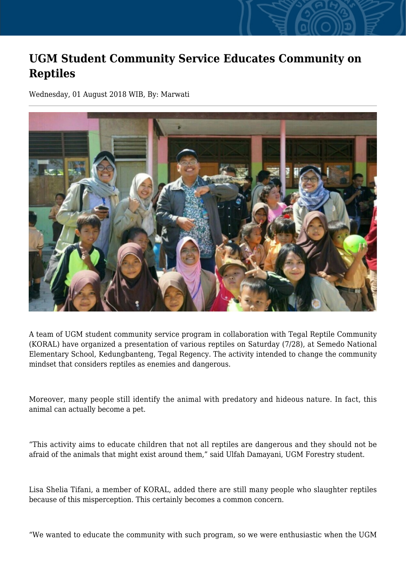## **UGM Student Community Service Educates Community on Reptiles**

Wednesday, 01 August 2018 WIB, By: Marwati



A team of UGM student community service program in collaboration with Tegal Reptile Community (KORAL) have organized a presentation of various reptiles on Saturday (7/28), at Semedo National Elementary School, Kedungbanteng, Tegal Regency. The activity intended to change the community mindset that considers reptiles as enemies and dangerous.

Moreover, many people still identify the animal with predatory and hideous nature. In fact, this animal can actually become a pet.

"This activity aims to educate children that not all reptiles are dangerous and they should not be afraid of the animals that might exist around them," said Ulfah Damayani, UGM Forestry student.

Lisa Shelia Tifani, a member of KORAL, added there are still many people who slaughter reptiles because of this misperception. This certainly becomes a common concern.

"We wanted to educate the community with such program, so we were enthusiastic when the UGM